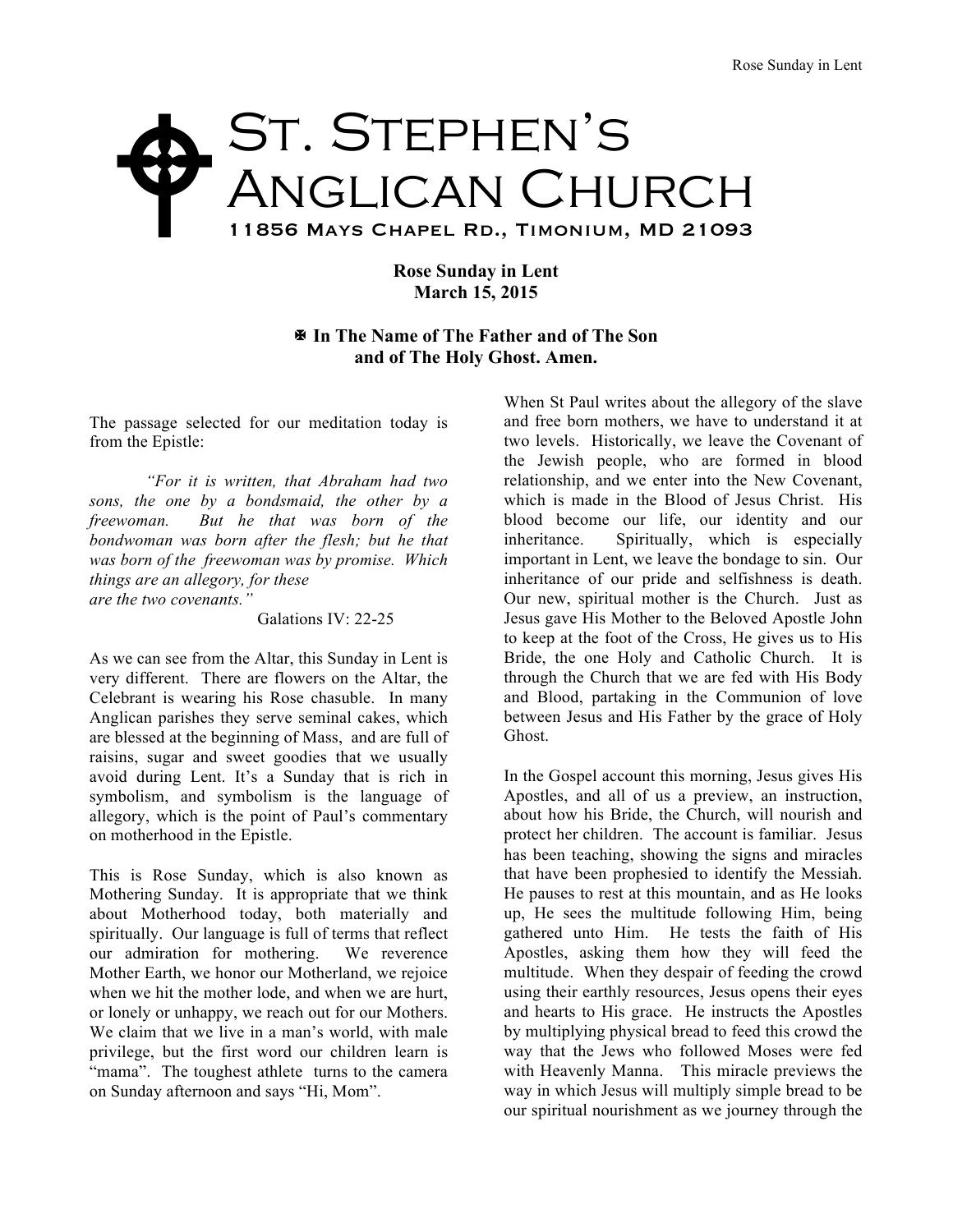## St. Stephen's Anglican Church 11856 Mays Chapel Rd., Timonium, MD 21093  $\blacklozenge$

## **Rose Sunday in Lent March 15, 2015**

## X **In The Name of The Father and of The Son and of The Holy Ghost. Amen.**

The passage selected for our meditation today is from the Epistle:

*"For it is written, that Abraham had two sons, the one by a bondsmaid, the other by a freewoman. But he that was born of the bondwoman was born after the flesh; but he that was born of the freewoman was by promise. Which things are an allegory, for these are the two covenants."*

Galations IV: 22-25

As we can see from the Altar, this Sunday in Lent is very different. There are flowers on the Altar, the Celebrant is wearing his Rose chasuble. In many Anglican parishes they serve seminal cakes, which are blessed at the beginning of Mass, and are full of raisins, sugar and sweet goodies that we usually avoid during Lent. It's a Sunday that is rich in symbolism, and symbolism is the language of allegory, which is the point of Paul's commentary on motherhood in the Epistle.

This is Rose Sunday, which is also known as Mothering Sunday. It is appropriate that we think about Motherhood today, both materially and spiritually. Our language is full of terms that reflect our admiration for mothering. We reverence Mother Earth, we honor our Motherland, we rejoice when we hit the mother lode, and when we are hurt, or lonely or unhappy, we reach out for our Mothers. We claim that we live in a man's world, with male privilege, but the first word our children learn is "mama". The toughest athlete turns to the camera on Sunday afternoon and says "Hi, Mom".

When St Paul writes about the allegory of the slave and free born mothers, we have to understand it at two levels. Historically, we leave the Covenant of the Jewish people, who are formed in blood relationship, and we enter into the New Covenant, which is made in the Blood of Jesus Christ. His blood become our life, our identity and our inheritance. Spiritually, which is especially important in Lent, we leave the bondage to sin. Our inheritance of our pride and selfishness is death. Our new, spiritual mother is the Church. Just as Jesus gave His Mother to the Beloved Apostle John to keep at the foot of the Cross, He gives us to His Bride, the one Holy and Catholic Church. It is through the Church that we are fed with His Body and Blood, partaking in the Communion of love between Jesus and His Father by the grace of Holy Ghost.

In the Gospel account this morning, Jesus gives His Apostles, and all of us a preview, an instruction, about how his Bride, the Church, will nourish and protect her children. The account is familiar. Jesus has been teaching, showing the signs and miracles that have been prophesied to identify the Messiah. He pauses to rest at this mountain, and as He looks up, He sees the multitude following Him, being gathered unto Him. He tests the faith of His Apostles, asking them how they will feed the multitude. When they despair of feeding the crowd using their earthly resources, Jesus opens their eyes and hearts to His grace. He instructs the Apostles by multiplying physical bread to feed this crowd the way that the Jews who followed Moses were fed with Heavenly Manna. This miracle previews the way in which Jesus will multiply simple bread to be our spiritual nourishment as we journey through the